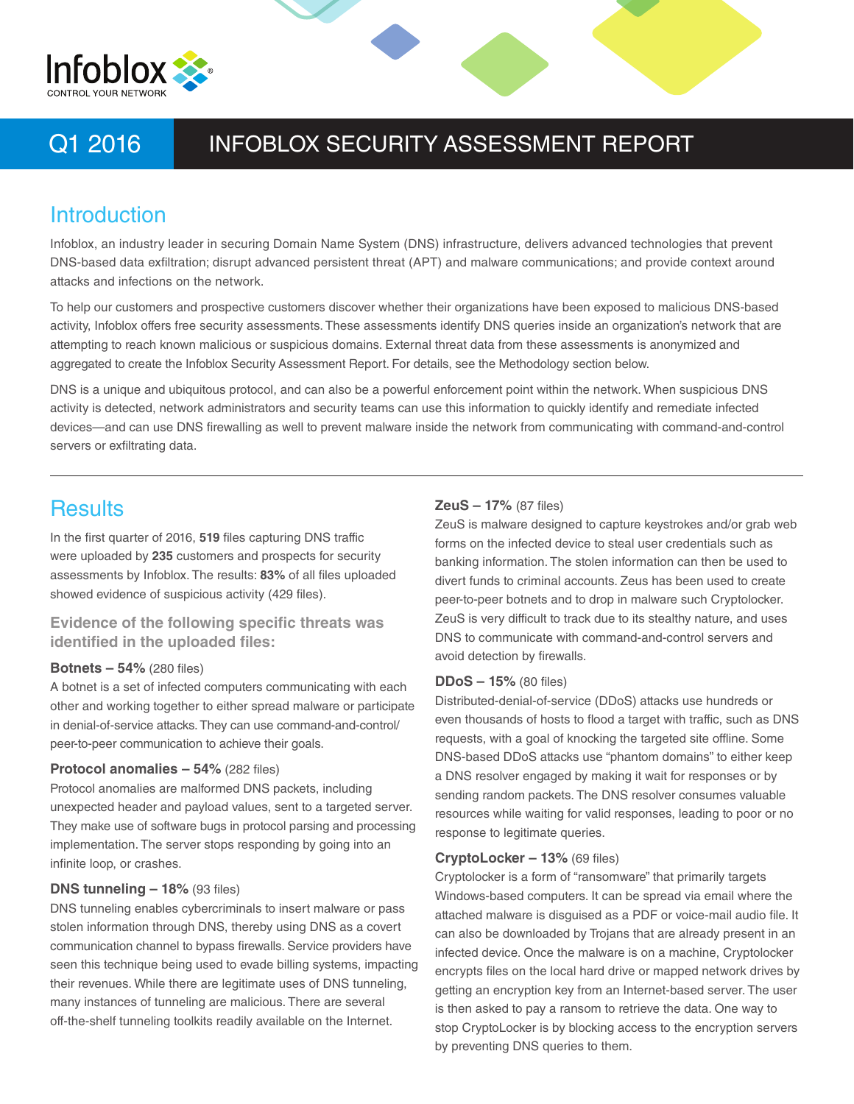

# Q1 2016 INFOBLOX SECURITY ASSESSMENT REPORT

# **Introduction**

Infoblox, an industry leader in securing Domain Name System (DNS) infrastructure, delivers advanced technologies that prevent DNS-based data exfiltration; disrupt advanced persistent threat (APT) and malware communications; and provide context around attacks and infections on the network.

To help our customers and prospective customers discover whether their organizations have been exposed to malicious DNS-based activity, Infoblox offers free security assessments. These assessments identify DNS queries inside an organization's network that are attempting to reach known malicious or suspicious domains. External threat data from these assessments is anonymized and aggregated to create the Infoblox Security Assessment Report. For details, see the Methodology section below.

DNS is a unique and ubiquitous protocol, and can also be a powerful enforcement point within the network. When suspicious DNS activity is detected, network administrators and security teams can use this information to quickly identify and remediate infected devices—and can use DNS firewalling as well to prevent malware inside the network from communicating with command-and-control servers or exfiltrating data.

# **Results**

In the first quarter of 2016, **519** files capturing DNS traffic were uploaded by **235** customers and prospects for security assessments by Infoblox. The results: **83%** of all files uploaded showed evidence of suspicious activity (429 files).

# **Evidence of the following specific threats was identified in the uploaded files:**

### **Botnets – 54%** (280 files)

A botnet is a set of infected computers communicating with each other and working together to either spread malware or participate in denial-of-service attacks. They can use command-and-control/ peer-to-peer communication to achieve their goals.

### **Protocol anomalies – 54%** (282 files)

Protocol anomalies are malformed DNS packets, including unexpected header and payload values, sent to a targeted server. They make use of software bugs in protocol parsing and processing implementation. The server stops responding by going into an infinite loop, or crashes.

# **DNS tunneling – 18%** (93 files)

DNS tunneling enables cybercriminals to insert malware or pass stolen information through DNS, thereby using DNS as a covert communication channel to bypass firewalls. Service providers have seen this technique being used to evade billing systems, impacting their revenues. While there are legitimate uses of DNS tunneling, many instances of tunneling are malicious. There are several off-the-shelf tunneling toolkits readily available on the Internet.

### **ZeuS – 17%** (87 files)

ZeuS is malware designed to capture keystrokes and/or grab web forms on the infected device to steal user credentials such as banking information. The stolen information can then be used to divert funds to criminal accounts. Zeus has been used to create peer-to-peer botnets and to drop in malware such Cryptolocker. ZeuS is very difficult to track due to its stealthy nature, and uses DNS to communicate with command-and-control servers and avoid detection by firewalls.

### **DDoS – 15%** (80 files)

Distributed-denial-of-service (DDoS) attacks use hundreds or even thousands of hosts to flood a target with traffic, such as DNS requests, with a goal of knocking the targeted site offline. Some DNS-based DDoS attacks use "phantom domains" to either keep a DNS resolver engaged by making it wait for responses or by sending random packets. The DNS resolver consumes valuable resources while waiting for valid responses, leading to poor or no response to legitimate queries.

### **CryptoLocker – 13%** (69 files)

Cryptolocker is a form of "ransomware" that primarily targets Windows-based computers. It can be spread via email where the attached malware is disguised as a PDF or voice-mail audio file. It can also be downloaded by Trojans that are already present in an infected device. Once the malware is on a machine, Cryptolocker encrypts files on the local hard drive or mapped network drives by getting an encryption key from an Internet-based server. The user is then asked to pay a ransom to retrieve the data. One way to stop CryptoLocker is by blocking access to the encryption servers by preventing DNS queries to them.